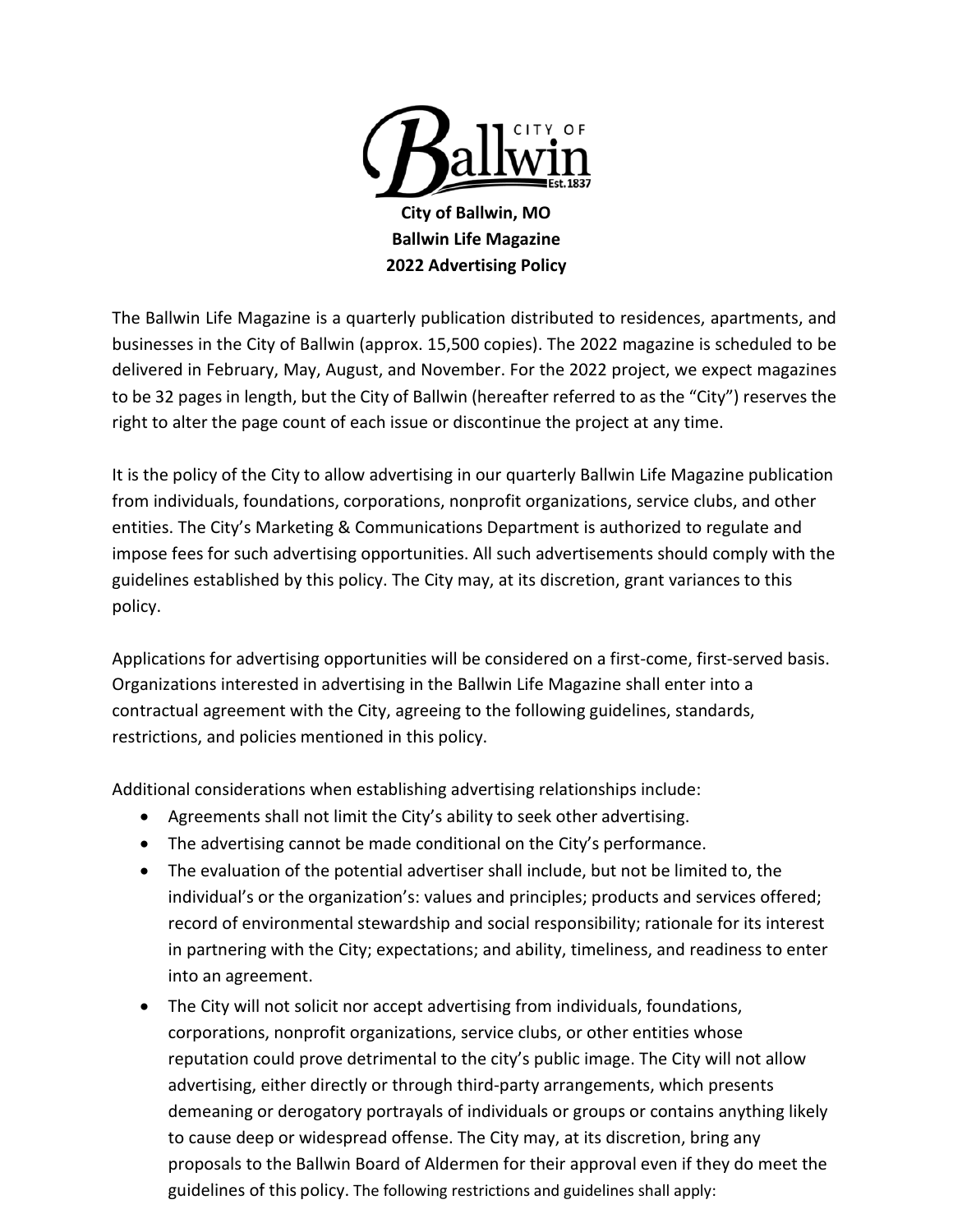

The Ballwin Life Magazine is a quarterly publication distributed to residences, apartments, and businesses in the City of Ballwin (approx. 15,500 copies). The 2022 magazine is scheduled to be delivered in February, May, August, and November. For the 2022 project, we expect magazines to be 32 pages in length, but the City of Ballwin (hereafter referred to as the "City") reserves the right to alter the page count of each issue or discontinue the project at any time.

It is the policy of the City to allow advertising in our quarterly Ballwin Life Magazine publication from individuals, foundations, corporations, nonprofit organizations, service clubs, and other entities. The City's Marketing & Communications Department is authorized to regulate and impose fees for such advertising opportunities. All such advertisements should comply with the guidelines established by this policy. The City may, at its discretion, grant variances to this policy.

Applications for advertising opportunities will be considered on a first-come, first-served basis. Organizations interested in advertising in the Ballwin Life Magazine shall enter into a contractual agreement with the City, agreeing to the following guidelines, standards, restrictions, and policies mentioned in this policy.

Additional considerations when establishing advertising relationships include:

- Agreements shall not limit the City's ability to seek other advertising.
- The advertising cannot be made conditional on the City's performance.
- The evaluation of the potential advertiser shall include, but not be limited to, the individual's or the organization's: values and principles; products and services offered; record of environmental stewardship and social responsibility; rationale for its interest in partnering with the City; expectations; and ability, timeliness, and readiness to enter into an agreement.
- The City will not solicit nor accept advertising from individuals, foundations, corporations, nonprofit organizations, service clubs, or other entities whose reputation could prove detrimental to the city's public image. The City will not allow advertising, either directly or through third-party arrangements, which presents demeaning or derogatory portrayals of individuals or groups or contains anything likely to cause deep or widespread offense. The City may, at its discretion, bring any proposals to the Ballwin Board of Aldermen for their approval even if they do meet the guidelines of this policy. The following restrictions and guidelines shall apply: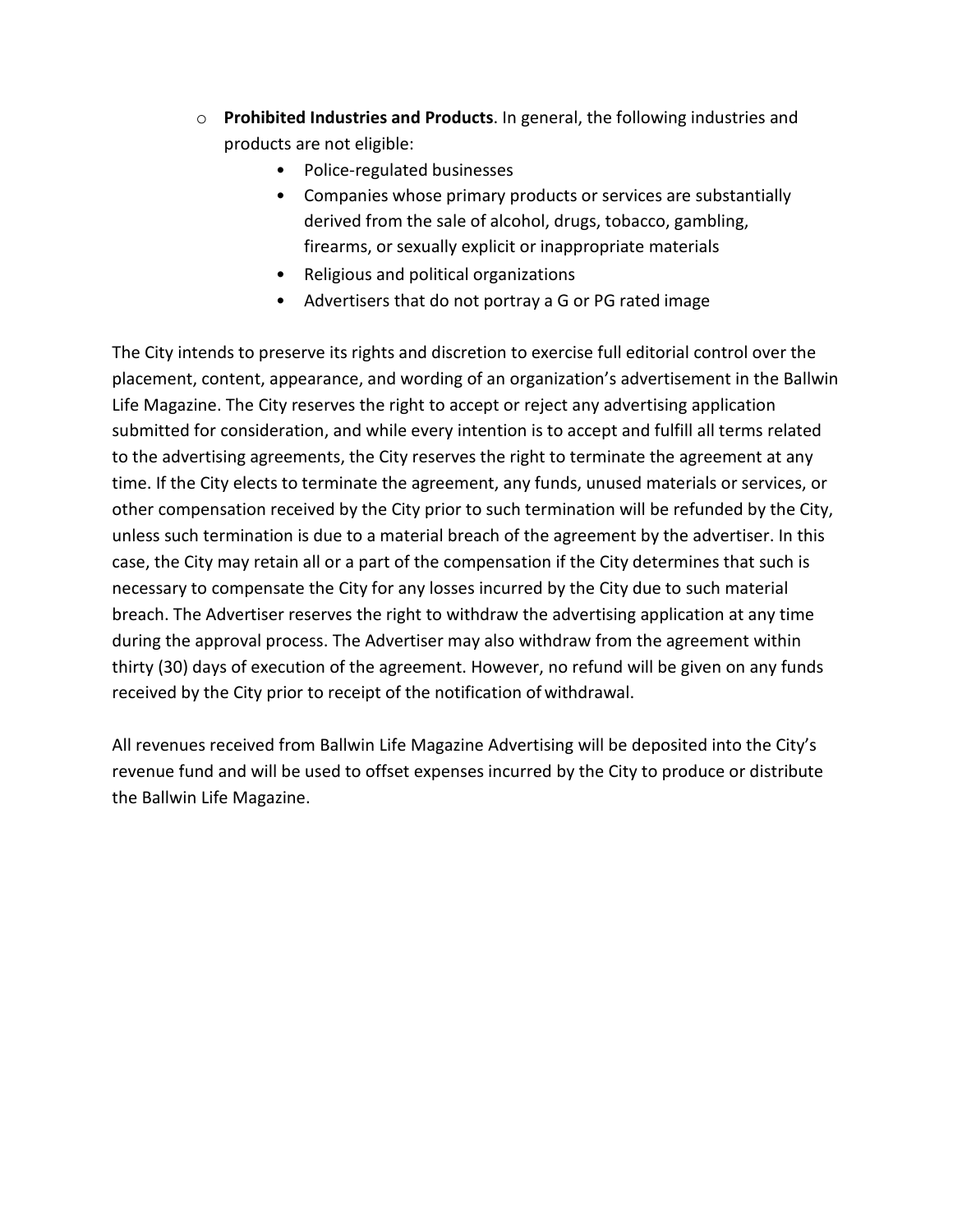- o **Prohibited Industries and Products**. In general, the following industries and products are not eligible:
	- Police-regulated businesses
	- Companies whose primary products or services are substantially derived from the sale of alcohol, drugs, tobacco, gambling, firearms, or sexually explicit or inappropriate materials
	- Religious and political organizations
	- Advertisers that do not portray a G or PG rated image

The City intends to preserve its rights and discretion to exercise full editorial control over the placement, content, appearance, and wording of an organization's advertisement in the Ballwin Life Magazine. The City reserves the right to accept or reject any advertising application submitted for consideration, and while every intention is to accept and fulfill all terms related to the advertising agreements, the City reserves the right to terminate the agreement at any time. If the City elects to terminate the agreement, any funds, unused materials or services, or other compensation received by the City prior to such termination will be refunded by the City, unless such termination is due to a material breach of the agreement by the advertiser. In this case, the City may retain all or a part of the compensation if the City determines that such is necessary to compensate the City for any losses incurred by the City due to such material breach. The Advertiser reserves the right to withdraw the advertising application at any time during the approval process. The Advertiser may also withdraw from the agreement within thirty (30) days of execution of the agreement. However, no refund will be given on any funds received by the City prior to receipt of the notification ofwithdrawal.

All revenues received from Ballwin Life Magazine Advertising will be deposited into the City's revenue fund and will be used to offset expenses incurred by the City to produce or distribute the Ballwin Life Magazine.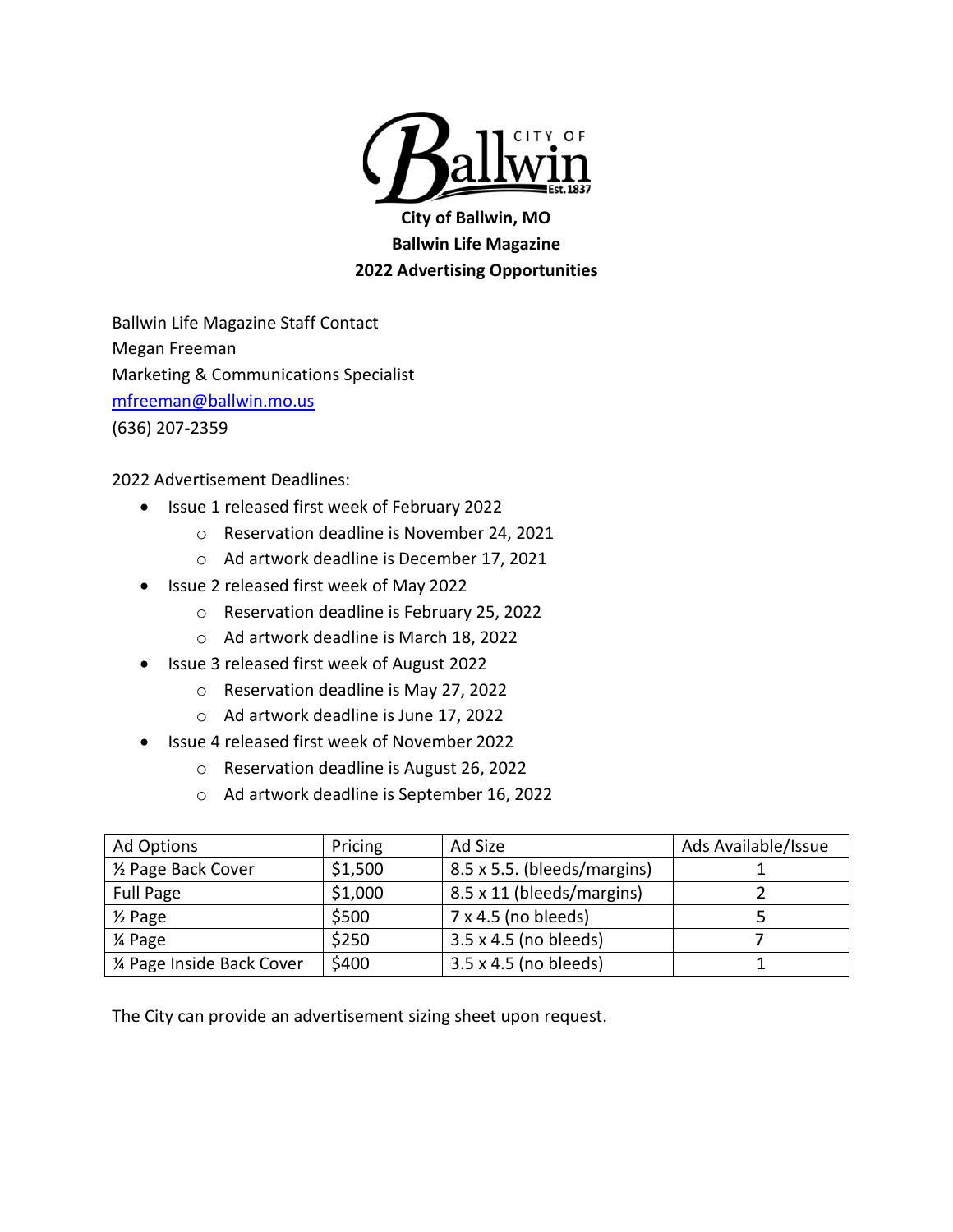

**City of Ballwin, MO Ballwin Life Magazine 2022 Advertising Opportunities**

Ballwin Life Magazine Staff Contact Megan Freeman Marketing & Communications Specialist mfreeman@ballwin.mo.us (636) 207-2359

2022 Advertisement Deadlines:

- Issue 1 released first week of February 2022
	- o Reservation deadline is November 24, 2021
	- o Ad artwork deadline is December 17, 2021
- Issue 2 released first week of May 2022
	- o Reservation deadline is February 25, 2022
	- o Ad artwork deadline is March 18, 2022
- Issue 3 released first week of August 2022
	- o Reservation deadline is May 27, 2022
	- o Ad artwork deadline is June 17, 2022
- Issue 4 released first week of November 2022
	- o Reservation deadline is August 26, 2022
	- o Ad artwork deadline is September 16, 2022

| Ad Options                 | Pricing | Ad Size                     | Ads Available/Issue |
|----------------------------|---------|-----------------------------|---------------------|
| 1/2 Page Back Cover        | \$1,500 | 8.5 x 5.5. (bleeds/margins) |                     |
| <b>Full Page</b>           | \$1,000 | 8.5 x 11 (bleeds/margins)   |                     |
| $\frac{1}{2}$ Page         | \$500   | $7 \times 4.5$ (no bleeds)  |                     |
| 1⁄4 Page                   | \$250   | 3.5 x 4.5 (no bleeds)       |                     |
| 1/4 Page Inside Back Cover | \$400   | 3.5 x 4.5 (no bleeds)       |                     |

The City can provide an advertisement sizing sheet upon request.